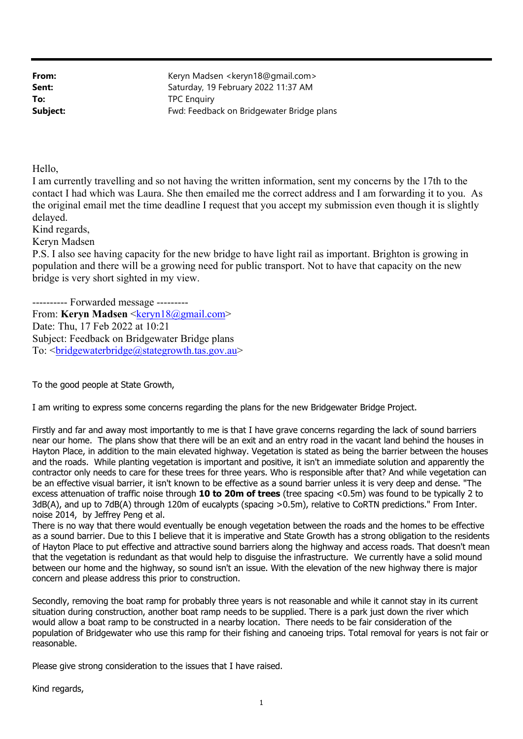**From:** Keryn Madsen <keryn18@gmail.com> Sent: Sent: Saturday, 19 February 2022 11:37 AM To: TPC Enquiry **Subject:** Fwd: Feedback on Bridgewater Bridge plans

Hello,

I am currently travelling and so not having the written information, sent my concerns by the 17th to the contact I had which was Laura. She then emailed me the correct address and I am forwarding it to you. As the original email met the time deadline I request that you accept my submission even though it is slightly delayed.

Kind regards,

Keryn Madsen

P.S. I also see having capacity for the new bridge to have light rail as important. Brighton is growing in population and there will be a growing need for public transport. Not to have that capacity on the new bridge is very short sighted in my view.

---------- Forwarded message --------- From: **Keryn Madsen** <keryn18@gmail.com> Date: Thu, 17 Feb 2022 at 10:21 Subject: Feedback on Bridgewater Bridge plans To:  $\langle \text{bridgewaterbridge@state}$ growth.tas.gov.au>

To the good people at State Growth,

I am writing to express some concerns regarding the plans for the new Bridgewater Bridge Project.

Firstly and far and away most importantly to me is that I have grave concerns regarding the lack of sound barriers near our home. The plans show that there will be an exit and an entry road in the vacant land behind the houses in Hayton Place, in addition to the main elevated highway. Vegetation is stated as being the barrier between the houses and the roads. While planting vegetation is important and positive, it isn't an immediate solution and apparently the contractor only needs to care for these trees for three years. Who is responsible after that? And while vegetation can be an effective visual barrier, it isn't known to be effective as a sound barrier unless it is very deep and dense. "The excess attenuation of traffic noise through **10 to 20m of trees** (tree spacing <0.5m) was found to be typically 2 to 3dB(A), and up to 7dB(A) through 120m of eucalypts (spacing >0.5m), relative to CoRTN predictions." From Inter. noise 2014, by Jeffrey Peng et al.

There is no way that there would eventually be enough vegetation between the roads and the homes to be effective as a sound barrier. Due to this I believe that it is imperative and State Growth has a strong obligation to the residents of Hayton Place to put effective and attractive sound barriers along the highway and access roads. That doesn't mean that the vegetation is redundant as that would help to disguise the infrastructure. We currently have a solid mound between our home and the highway, so sound isn't an issue. With the elevation of the new highway there is major concern and please address this prior to construction.

Secondly, removing the boat ramp for probably three years is not reasonable and while it cannot stay in its current situation during construction, another boat ramp needs to be supplied. There is a park just down the river which would allow a boat ramp to be constructed in a nearby location. There needs to be fair consideration of the population of Bridgewater who use this ramp for their fishing and canoeing trips. Total removal for years is not fair or reasonable.

Please give strong consideration to the issues that I have raised.

Kind regards,